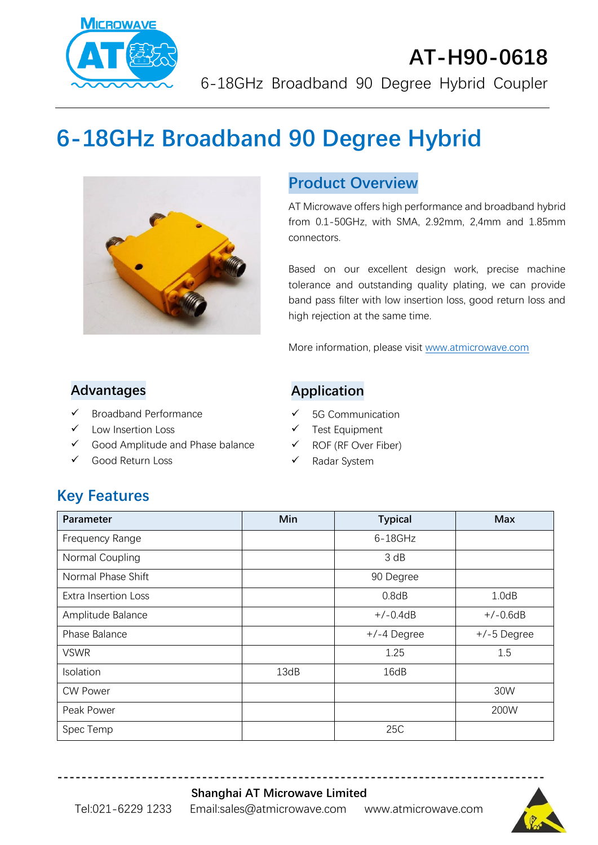

# **AT-H90-0618** 6-18GHz Broadband 90 Degree Hybrid Coupler

# **6-18GHz Broadband 90 Degree Hybrid**



#### **Product Overview**

AT Microwave offers high performance and broadband hybrid from 0.1-50GHz, with SMA, 2.92mm, 2,4mm and 1.85mm connectors.

Based on our excellent design work, precise machine tolerance and outstanding quality plating, we can provide band pass filter with low insertion loss, good return loss and high rejection at the same time.

More information, please visit [www.atmicrowave.com](http://www.atmicrowave.com/)

#### **Advantages**

- ✓ Broadband Performance
- Low Insertion Loss
- ✓ Good Amplitude and Phase balance
- ✓ Good Return Loss

#### **Application**

- ✓ 5G Communication
- ✓ Test Equipment
- ✓ ROF (RF Over Fiber)
- ✓ Radar System

# **Key Features**

| Parameter                   | Min  | <b>Typical</b> | <b>Max</b>    |
|-----------------------------|------|----------------|---------------|
| Frequency Range             |      | $6-18$ GHz     |               |
| Normal Coupling             |      | 3 dB           |               |
| Normal Phase Shift          |      | 90 Degree      |               |
| <b>Extra Insertion Loss</b> |      | 0.8dB          | 1.0dB         |
| Amplitude Balance           |      | $+/-0.4dB$     | $+/-0.6dB$    |
| Phase Balance               |      | $+/-4$ Degree  | $+/-5$ Degree |
| <b>VSWR</b>                 |      | 1.25           | 1.5           |
| Isolation                   | 13dB | 16dB           |               |
| <b>CW Power</b>             |      |                | 30W           |
| Peak Power                  |      |                | 200W          |
| Spec Temp                   |      | 25C            |               |

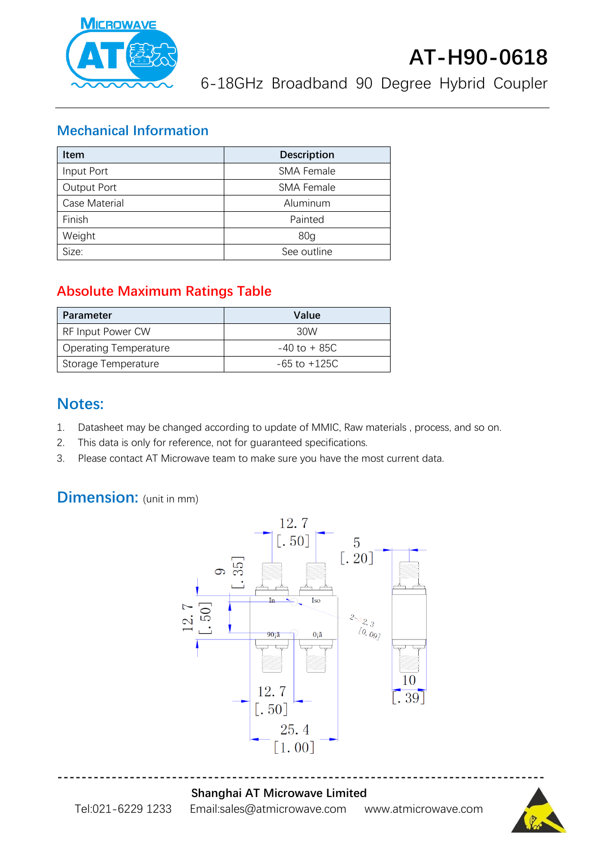

6-18GHz Broadband 90 Degree Hybrid Coupler

#### **Mechanical Information**

| <b>Item</b>   | <b>Description</b> |  |
|---------------|--------------------|--|
| Input Port    | <b>SMA Female</b>  |  |
| Output Port   | <b>SMA Female</b>  |  |
| Case Material | Aluminum           |  |
| Finish        | Painted            |  |
| Weight        | 80 <sub>q</sub>    |  |
| Size:         | See outline        |  |

## **Absolute Maximum Ratings Table**

| Parameter                    | Value            |
|------------------------------|------------------|
| RF Input Power CW            | 30W              |
| <b>Operating Temperature</b> | $-40$ to $+85C$  |
| Storage Temperature          | $-65$ to $+125C$ |

## **Notes:**

- 1. Datasheet may be changed according to update of MMIC, Raw materials , process, and so on.
- 2. This data is only for reference, not for guaranteed specifications.
- 3. Please contact AT Microwave team to make sure you have the most current data.

# **Dimension:** (unit in mm)